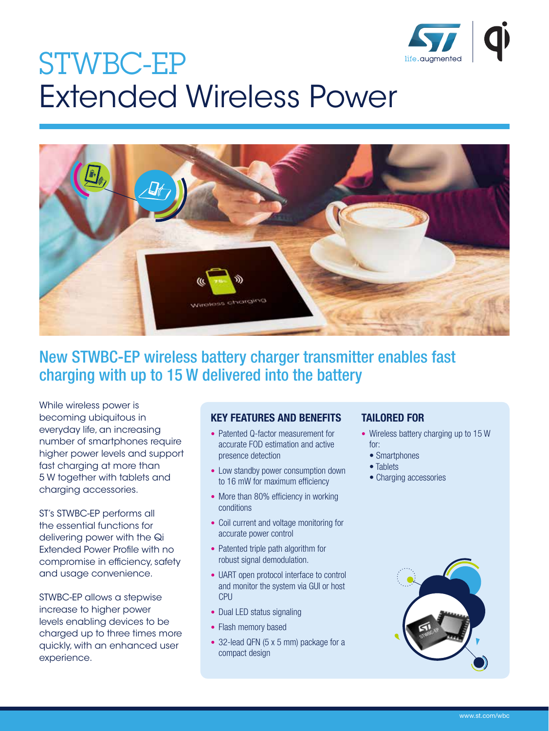

# STWBC-EP Extended Wireless Power



## New STWBC-EP wireless battery charger transmitter enables fast charging with up to 15 W delivered into the battery

While wireless power is becoming ubiquitous in everyday life, an increasing number of smartphones require higher power levels and support fast charging at more than 5 W together with tablets and charging accessories.

ST's STWBC-EP performs all the essential functions for delivering power with the Qi Extended Power Profile with no compromise in efficiency, safety and usage convenience.

STWBC-EP allows a stepwise increase to higher power levels enabling devices to be charged up to three times more quickly, with an enhanced user experience.

#### KEY FEATURES AND BENEFITS

- Patented Q-factor measurement for accurate FOD estimation and active presence detection
- Low standby power consumption down to 16 mW for maximum efficiency
- More than 80% efficiency in working conditions
- Coil current and voltage monitoring for accurate power control
- Patented triple path algorithm for robust signal demodulation.
- UART open protocol interface to control and monitor the system via GUI or host CPU
- Dual LED status signaling
- Flash memory based
- 32-lead QFN (5 x 5 mm) package for a compact design

### TAILORED FOR

- Wireless battery charging up to 15 W for:
	- Smartphones
- Tablets
- Charging accessories